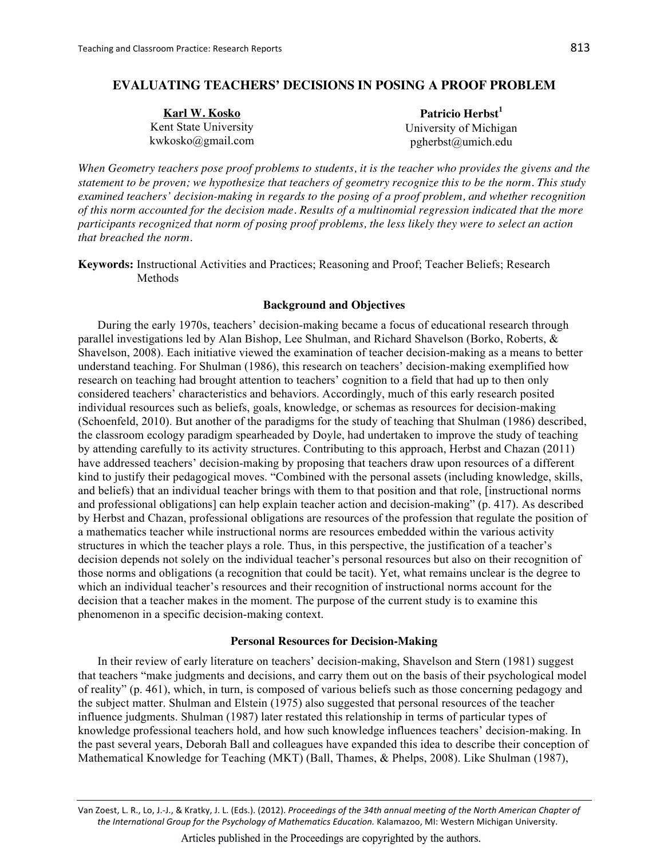# **EVALUATING TEACHERS' DECISIONS IN POSING A PROOF PROBLEM**

| Karl W. Kosko         | Patricio Herbst <sup>1</sup> |  |  |  |
|-----------------------|------------------------------|--|--|--|
| Kent State University | University of Michigan       |  |  |  |
| kwkosko@gmail.com     | pgherbst@umich.edu           |  |  |  |

When Geometry teachers pose proof problems to students, it is the teacher who provides the givens and the statement to be proven; we hypothesize that teachers of geometry recognize this to be the norm. This study examined teachers' decision-making in regards to the posing of a proof problem, and whether recognition of this norm accounted for the decision made. Results of a multinomial regression indicated that the more participants recognized that norm of posing proof problems, the less likely they were to select an action that breached the norm.

Keywords: Instructional Activities and Practices; Reasoning and Proof; Teacher Beliefs; Research Methods

## **Background and Objectives**

During the early 1970s, teachers' decision-making became a focus of educational research through parallel investigations led by Alan Bishop, Lee Shulman, and Richard Shavelson (Borko, Roberts, & Shavelson, 2008). Each initiative viewed the examination of teacher decision-making as a means to better understand teaching. For Shulman (1986), this research on teachers' decision-making exemplified how research on teaching had brought attention to teachers' cognition to a field that had up to then only considered teachers' characteristics and behaviors. Accordingly, much of this early research posited individual resources such as beliefs, goals, knowledge, or schemas as resources for decision-making (Schoenfeld, 2010). But another of the paradigms for the study of teaching that Shulman (1986) described, the classroom ecology paradigm spearheaded by Doyle, had undertaken to improve the study of teaching by attending carefully to its activity structures. Contributing to this approach, Herbst and Chazan (2011) have addressed teachers' decision-making by proposing that teachers draw upon resources of a different kind to justify their pedagogical moves. "Combined with the personal assets (including knowledge, skills, and beliefs) that an individual teacher brings with them to that position and that role, [instructional norms and professional obligations] can help explain teacher action and decision-making" (p. 417). As described by Herbst and Chazan, professional obligations are resources of the profession that regulate the position of a mathematics teacher while instructional norms are resources embedded within the various activity structures in which the teacher plays a role. Thus, in this perspective, the justification of a teacher's decision depends not solely on the individual teacher's personal resources but also on their recognition of those norms and obligations (a recognition that could be tacit). Yet, what remains unclear is the degree to which an individual teacher's resources and their recognition of instructional norms account for the decision that a teacher makes in the moment. The purpose of the current study is to examine this phenomenon in a specific decision-making context.

### **Personal Resources for Decision-Making**

In their review of early literature on teachers' decision-making, Shavelson and Stern (1981) suggest that teachers "make judgments and decisions, and carry them out on the basis of their psychological model of reality" (p. 461), which, in turn, is composed of various beliefs such as those concerning pedagogy and the subject matter. Shulman and Elstein (1975) also suggested that personal resources of the teacher influence judgments. Shulman (1987) later restated this relationship in terms of particular types of knowledge professional teachers hold, and how such knowledge influences teachers' decision-making. In the past several years, Deborah Ball and colleagues have expanded this idea to describe their conception of Mathematical Knowledge for Teaching (MKT) (Ball, Thames, & Phelps, 2008). Like Shulman (1987),

Van Zoest, L. R., Lo, J.-J., & Kratky, J. L. (Eds.). (2012). Proceedings of the 34th annual meeting of the North American Chapter of the International Group for the Psychology of Mathematics Education. Kalamazoo, MI: Western Michigan University.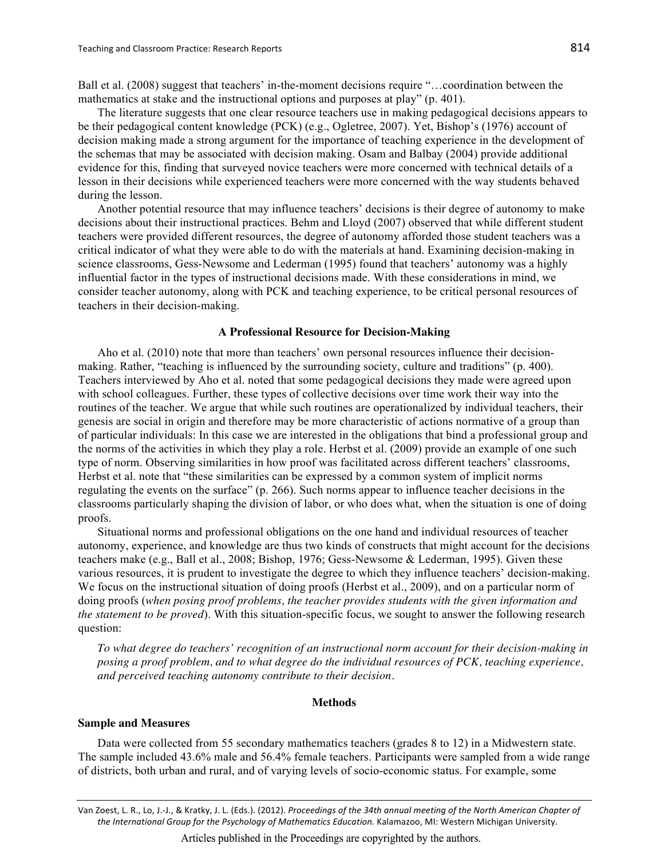Ball et al. (2008) suggest that teachers' in-the-moment decisions require "...coordination between the mathematics at stake and the instructional options and purposes at play" (p. 401).

The literature suggests that one clear resource teachers use in making pedagogical decisions appears to be their pedagogical content knowledge (PCK) (e.g., Ogletree, 2007). Yet, Bishop's (1976) account of decision making made a strong argument for the importance of teaching experience in the development of the schemas that may be associated with decision making. Osam and Balbay (2004) provide additional evidence for this, finding that surveyed novice teachers were more concerned with technical details of a lesson in their decisions while experienced teachers were more concerned with the way students behaved during the lesson.

Another potential resource that may influence teachers' decisions is their degree of autonomy to make decisions about their instructional practices. Behm and Lloyd (2007) observed that while different student teachers were provided different resources, the degree of autonomy afforded those student teachers was a critical indicator of what they were able to do with the materials at hand. Examining decision-making in science classrooms, Gess-Newsome and Lederman (1995) found that teachers' autonomy was a highly influential factor in the types of instructional decisions made. With these considerations in mind, we consider teacher autonomy, along with PCK and teaching experience, to be critical personal resources of teachers in their decision-making.

#### **A Professional Resource for Decision-Making**

Aho et al. (2010) note that more than teachers' own personal resources influence their decisionmaking. Rather, "teaching is influenced by the surrounding society, culture and traditions" (p. 400). Teachers interviewed by Aho et al. noted that some pedagogical decisions they made were agreed upon with school colleagues. Further, these types of collective decisions over time work their way into the routines of the teacher. We argue that while such routines are operationalized by individual teachers, their genesis are social in origin and therefore may be more characteristic of actions normative of a group than of particular individuals: In this case we are interested in the obligations that bind a professional group and the norms of the activities in which they play a role. Herbst et al. (2009) provide an example of one such type of norm. Observing similarities in how proof was facilitated across different teachers' classrooms, Herbst et al. note that "these similarities can be expressed by a common system of implicit norms regulating the events on the surface" (p. 266). Such norms appear to influence teacher decisions in the classrooms particularly shaping the division of labor, or who does what, when the situation is one of doing proofs.

Situational norms and professional obligations on the one hand and individual resources of teacher autonomy, experience, and knowledge are thus two kinds of constructs that might account for the decisions teachers make (e.g., Ball et al., 2008; Bishop, 1976; Gess-Newsome & Lederman, 1995). Given these various resources, it is prudent to investigate the degree to which they influence teachers' decision-making. We focus on the instructional situation of doing proofs (Herbst et al., 2009), and on a particular norm of doing proofs (when posing proof problems, the teacher provides students with the given information and the statement to be proved). With this situation-specific focus, we sought to answer the following research question:

To what degree do teachers' recognition of an instructional norm account for their decision-making in posing a proof problem, and to what degree do the individual resources of PCK, teaching experience, and perceived teaching autonomy contribute to their decision.

### **Methods**

#### **Sample and Measures**

Data were collected from 55 secondary mathematics teachers (grades 8 to 12) in a Midwestern state. The sample included 43.6% male and 56.4% female teachers. Participants were sampled from a wide range of districts, both urban and rural, and of varying levels of socio-economic status. For example, some

Van Zoest, L. R., Lo, J.-J., & Kratky, J. L. (Eds.). (2012). Proceedings of the 34th annual meeting of the North American Chapter of the International Group for the Psychology of Mathematics Education. Kalamazoo, MI: Western Michigan University.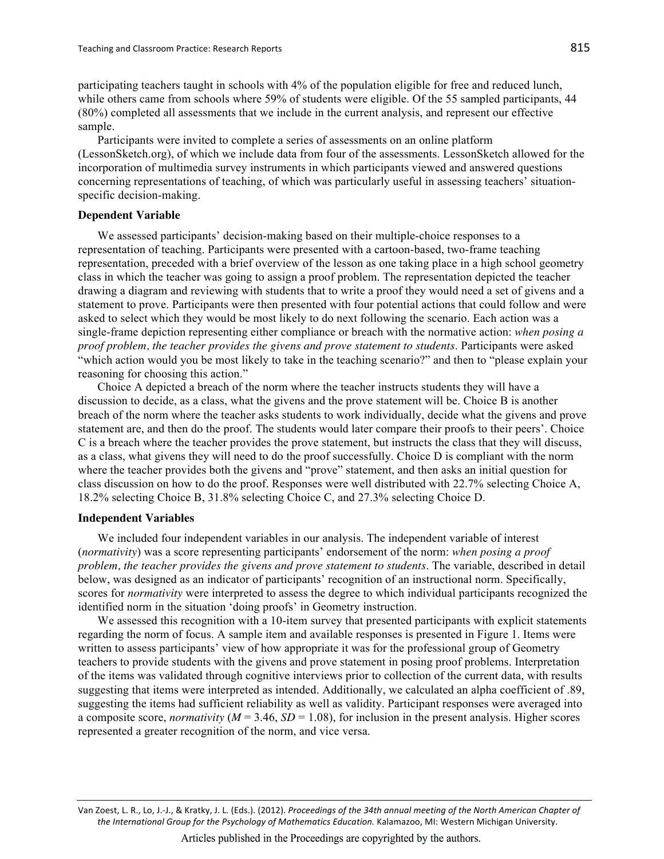participating teachers taught in schools with 4% of the population eligible for free and reduced lunch, while others came from schools where 59% of students were eligible. Of the 55 sampled participants, 44 (80%) completed all assessments that we include in the current analysis, and represent our effective sample.

Participants were invited to complete a series of assessments on an online platform (LessonSketch.org), of which we include data from four of the assessments. LessonSketch allowed for the incorporation of multimedia survey instruments in which participants viewed and answered questions concerning representations of teaching, of which was particularly useful in assessing teachers' situationspecific decision-making.

## **Dependent Variable**

We assessed participants' decision-making based on their multiple-choice responses to a representation of teaching. Participants were presented with a cartoon-based, two-frame teaching representation, preceded with a brief overview of the lesson as one taking place in a high school geometry class in which the teacher was going to assign a proof problem. The representation depicted the teacher drawing a diagram and reviewing with students that to write a proof they would need a set of givens and a statement to prove. Participants were then presented with four potential actions that could follow and were asked to select which they would be most likely to do next following the scenario. Each action was a single-frame depiction representing either compliance or breach with the normative action: when posing a proof problem, the teacher provides the givens and prove statement to students. Participants were asked "which action would you be most likely to take in the teaching scenario?" and then to "please explain your" reasoning for choosing this action."

Choice A depicted a breach of the norm where the teacher instructs students they will have a discussion to decide, as a class, what the givens and the prove statement will be. Choice B is another breach of the norm where the teacher asks students to work individually, decide what the givens and prove statement are, and then do the proof. The students would later compare their proofs to their peers'. Choice C is a breach where the teacher provides the prove statement, but instructs the class that they will discuss, as a class, what givens they will need to do the proof successfully. Choice D is compliant with the norm where the teacher provides both the givens and "prove" statement, and then asks an initial question for class discussion on how to do the proof. Responses were well distributed with 22.7% selecting Choice A, 18.2% selecting Choice B, 31.8% selecting Choice C, and 27.3% selecting Choice D.

## **Independent Variables**

We included four independent variables in our analysis. The independent variable of interest (normativity) was a score representing participants' endorsement of the norm; when posing a proof problem, the teacher provides the givens and prove statement to students. The variable, described in detail below, was designed as an indicator of participants' recognition of an instructional norm. Specifically, scores for *normativity* were interpreted to assess the degree to which individual participants recognized the identified norm in the situation 'doing proofs' in Geometry instruction.

We assessed this recognition with a 10-item survey that presented participants with explicit statements regarding the norm of focus. A sample item and available responses is presented in Figure 1. Items were written to assess participants' view of how appropriate it was for the professional group of Geometry teachers to provide students with the givens and prove statement in posing proof problems. Interpretation of the items was validated through cognitive interviews prior to collection of the current data, with results suggesting that items were interpreted as intended. Additionally, we calculated an alpha coefficient of .89, suggesting the items had sufficient reliability as well as validity. Participant responses were averaged into a composite score, *normativity* ( $M = 3.46$ ,  $SD = 1.08$ ), for inclusion in the present analysis. Higher scores represented a greater recognition of the norm, and vice versa.

Van Zoest, L. R., Lo, J.-J., & Kratky, J. L. (Eds.). (2012). Proceedings of the 34th annual meeting of the North American Chapter of the International Group for the Psychology of Mathematics Education. Kalamazoo, MI: Western Michigan University.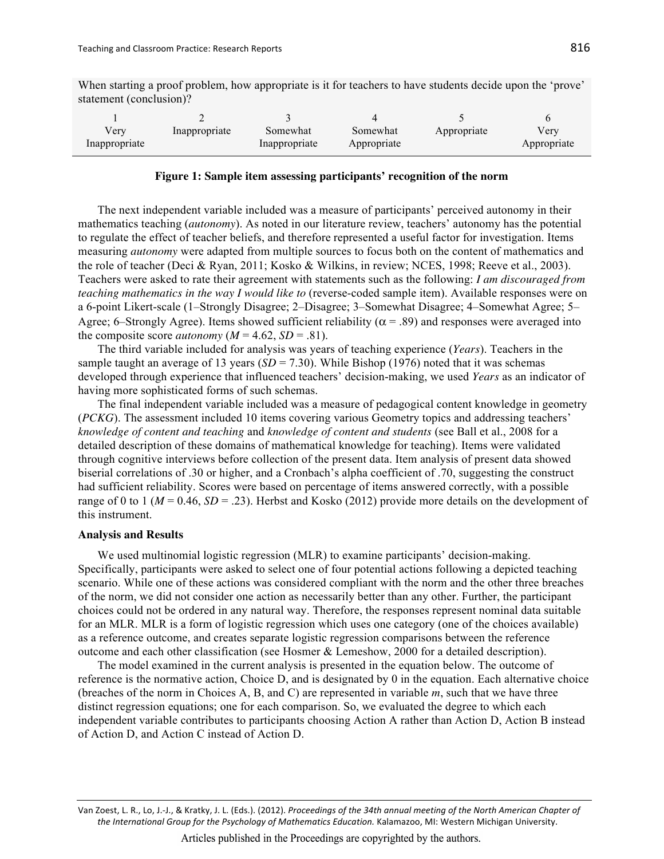When starting a proof problem, how appropriate is it for teachers to have students decide upon the 'prove' statement (conclusion)?

| very<br>Inappropriate | Inappropriate | Somewhat<br>Inappropriate | Somewhat<br>Appropriate | Appropriate | Verv<br>Appropriate |
|-----------------------|---------------|---------------------------|-------------------------|-------------|---------------------|

#### Figure 1: Sample item assessing participants' recognition of the norm

The next independent variable included was a measure of participants' perceived autonomy in their mathematics teaching (autonomy). As noted in our literature review, teachers' autonomy has the potential to regulate the effect of teacher beliefs, and therefore represented a useful factor for investigation. Items measuring *autonomy* were adapted from multiple sources to focus both on the content of mathematics and the role of teacher (Deci & Ryan, 2011; Kosko & Wilkins, in review; NCES, 1998; Reeve et al., 2003). Teachers were asked to rate their agreement with statements such as the following: I am discouraged from *teaching mathematics in the way I would like to (reverse-coded sample item). Available responses were on* a 6-point Likert-scale (1-Strongly Disagree; 2-Disagree; 3-Somewhat Disagree; 4-Somewhat Agree; 5-Agree; 6–Strongly Agree). Items showed sufficient reliability ( $\alpha$  = .89) and responses were averaged into the composite score *autonomy* ( $M = 4.62$ ,  $SD = .81$ ).

The third variable included for analysis was years of teaching experience (Years). Teachers in the sample taught an average of 13 years ( $SD = 7.30$ ). While Bishop (1976) noted that it was schemas developed through experience that influenced teachers' decision-making, we used Years as an indicator of having more sophisticated forms of such schemas.

The final independent variable included was a measure of pedagogical content knowledge in geometry (*PCKG*). The assessment included 10 items covering various Geometry topics and addressing teachers' knowledge of content and teaching and knowledge of content and students (see Ball et al., 2008 for a detailed description of these domains of mathematical knowledge for teaching). Items were validated through cognitive interviews before collection of the present data. Item analysis of present data showed biserial correlations of .30 or higher, and a Cronbach's alpha coefficient of .70, suggesting the construct had sufficient reliability. Scores were based on percentage of items answered correctly, with a possible range of 0 to 1 ( $M = 0.46$ ,  $SD = .23$ ). Herbst and Kosko (2012) provide more details on the development of this instrument.

#### **Analysis and Results**

We used multinomial logistic regression (MLR) to examine participants' decision-making. Specifically, participants were asked to select one of four potential actions following a depicted teaching scenario. While one of these actions was considered compliant with the norm and the other three breaches of the norm, we did not consider one action as necessarily better than any other. Further, the participant choices could not be ordered in any natural way. Therefore, the responses represent nominal data suitable for an MLR. MLR is a form of logistic regression which uses one category (one of the choices available) as a reference outcome, and creates separate logistic regression comparisons between the reference outcome and each other classification (see Hosmer & Lemeshow, 2000 for a detailed description).

The model examined in the current analysis is presented in the equation below. The outcome of reference is the normative action, Choice D, and is designated by  $0$  in the equation. Each alternative choice (breaches of the norm in Choices A, B, and C) are represented in variable  $m$ , such that we have three distinct regression equations; one for each comparison. So, we evaluated the degree to which each independent variable contributes to participants choosing Action A rather than Action D, Action B instead of Action D, and Action C instead of Action D.

Van Zoest, L. R., Lo, J.-J., & Kratky, J. L. (Eds.). (2012). Proceedings of the 34th annual meeting of the North American Chapter of the International Group for the Psychology of Mathematics Education. Kalamazoo, MI: Western Michigan University.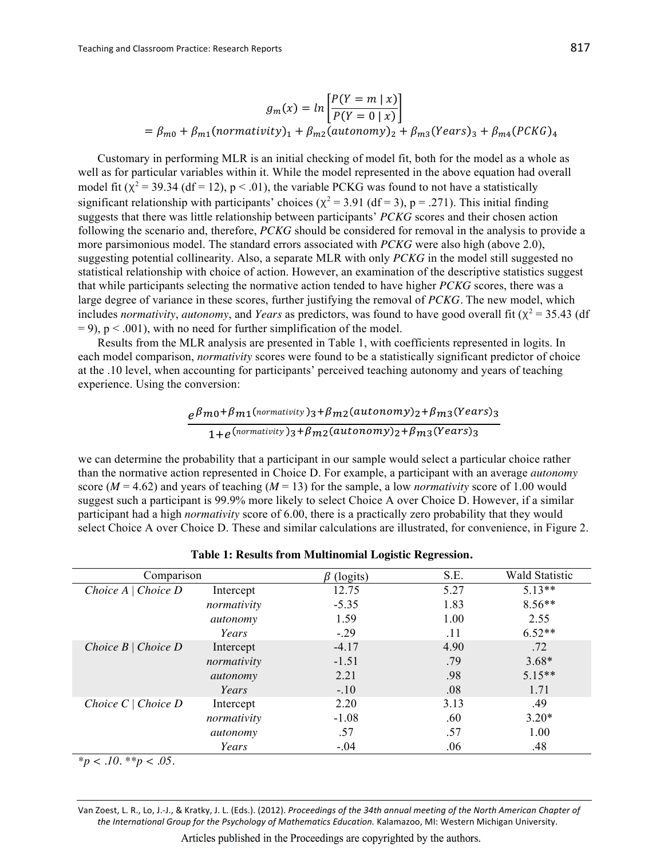$$
g_m(x) = \ln \left[ \frac{P(Y=m \mid x)}{P(Y=0 \mid x)} \right]
$$
  
=  $\beta_{m0} + \beta_{m1} (normalivity)_1 + \beta_{m2} (automomy)_2 + \beta_{m3} (Years)_3 + \beta_{m4} (PCKG)_4$ 

Customary in performing MLR is an initial checking of model fit, both for the model as a whole as well as for particular variables within it. While the model represented in the above equation had overall model fit ( $\chi^2$  = 39.34 (df = 12), p < .01), the variable PCKG was found to not have a statistically significant relationship with participants' choices ( $\chi^2$  = 3.91 (df = 3), p = .271). This initial finding suggests that there was little relationship between participants' PCKG scores and their chosen action following the scenario and, therefore, PCKG should be considered for removal in the analysis to provide a more parsimonious model. The standard errors associated with *PCKG* were also high (above 2.0), suggesting potential collinearity. Also, a separate MLR with only PCKG in the model still suggested no statistical relationship with choice of action. However, an examination of the descriptive statistics suggest that while participants selecting the normative action tended to have higher PCKG scores, there was a large degree of variance in these scores, further justifying the removal of PCKG. The new model, which includes normativity, autonomy, and Years as predictors, was found to have good overall fit ( $\chi^2$  = 35.43 (df  $= 9$ , p < .001), with no need for further simplification of the model.

Results from the MLR analysis are presented in Table 1, with coefficients represented in logits. In each model comparison, *normativity* scores were found to be a statistically significant predictor of choice at the .10 level, when accounting for participants' perceived teaching autonomy and years of teaching experience. Using the conversion:

$$
e^{\beta m_0 + \beta m_1(normativity)}_3 + \beta m_2(autonomy)_2 + \beta m_3(Years)_3
$$
  
1+ $e^{(normativity)}_3 + \beta m_2(autonomy)_2 + \beta m_3(Years)_3$ 

we can determine the probability that a participant in our sample would select a particular choice rather than the normative action represented in Choice D. For example, a participant with an average *autonomy* score ( $M = 4.62$ ) and years of teaching ( $M = 13$ ) for the sample, a low *normativity* score of 1.00 would suggest such a participant is 99.9% more likely to select Choice A over Choice D. However, if a similar participant had a high *normativity* score of 6.00, there is a practically zero probability that they would select Choice A over Choice D. These and similar calculations are illustrated, for convenience, in Figure 2.

| Comparison               |             | $\beta$ (logits) | S.E. | <b>Wald Statistic</b> |
|--------------------------|-------------|------------------|------|-----------------------|
| Choice A   Choice D      | Intercept   | 12.75            | 5.27 | $5.13**$              |
|                          | normativity | $-5.35$          | 1.83 | $8.56**$              |
|                          | autonomy    | 1.59             | 1.00 | 2.55                  |
|                          | Years       | $-.29$           | .11  | $6.52**$              |
| Choice $B \mid Choice D$ | Intercept   | $-4.17$          | 4.90 | .72                   |
|                          | normativity | $-1.51$          | .79  | $3.68*$               |
|                          | autonomy    | 2.21             | .98  | $5.15**$              |
|                          | Years       | $-.10$           | .08  | 1.71                  |
| Choice $C \mid Choice D$ | Intercept   | 2.20             | 3.13 | .49                   |
|                          | normativity | $-1.08$          | .60  | $3.20*$               |
|                          | autonomy    | .57              | .57  | 1.00                  |
|                          | Years       | $-.04$           | .06  | .48                   |

Table 1: Results from Multinomial Logistic Regression.

 $*_{p} < .10.**_{p} < .05.$ 

Van Zoest, L. R., Lo, J.-J., & Kratky, J. L. (Eds.). (2012). Proceedings of the 34th annual meeting of the North American Chapter of the International Group for the Psychology of Mathematics Education. Kalamazoo, MI: Western Michigan University.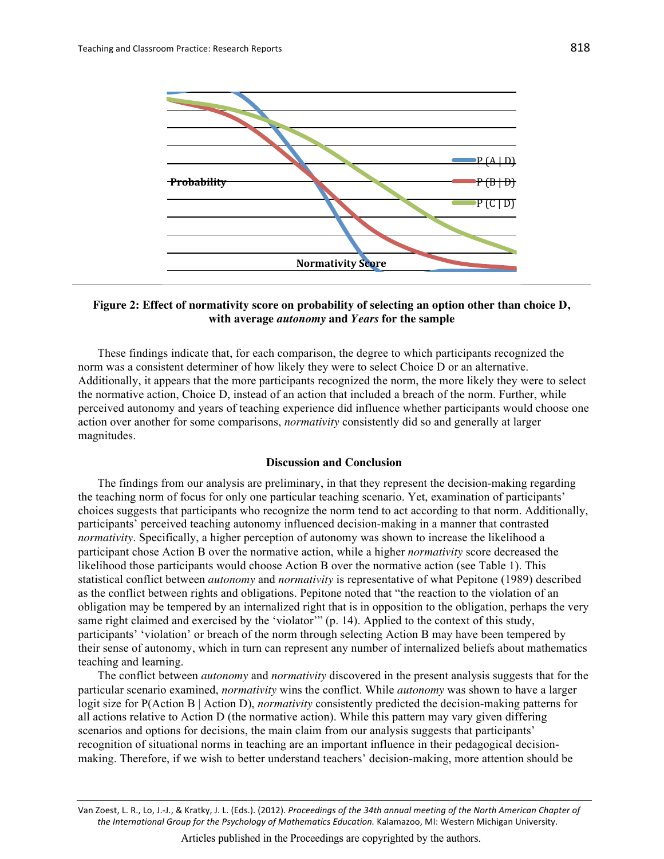

## Figure 2: Effect of normativity score on probability of selecting an option other than choice D, with average *autonomy* and Years for the sample

These findings indicate that, for each comparison, the degree to which participants recognized the norm was a consistent determiner of how likely they were to select Choice D or an alternative. Additionally, it appears that the more participants recognized the norm, the more likely they were to select the normative action, Choice D, instead of an action that included a breach of the norm. Further, while perceived autonomy and years of teaching experience did influence whether participants would choose one action over another for some comparisons, *normativity* consistently did so and generally at larger magnitudes.

## **Discussion and Conclusion**

The findings from our analysis are preliminary, in that they represent the decision-making regarding the teaching norm of focus for only one particular teaching scenario. Yet, examination of participants' choices suggests that participants who recognize the norm tend to act according to that norm. Additionally, participants' perceived teaching autonomy influenced decision-making in a manner that contrasted *normativity*. Specifically, a higher perception of autonomy was shown to increase the likelihood a participant chose Action B over the normative action, while a higher *normativity* score decreased the likelihood those participants would choose Action B over the normative action (see Table 1). This statistical conflict between *autonomy* and *normativity* is representative of what Pepitone (1989) described as the conflict between rights and obligations. Pepitone noted that "the reaction to the violation of an obligation may be tempered by an internalized right that is in opposition to the obligation, perhaps the very same right claimed and exercised by the 'violator'" (p. 14). Applied to the context of this study, participants' 'violation' or breach of the norm through selecting Action B may have been tempered by their sense of autonomy, which in turn can represent any number of internalized beliefs about mathematics teaching and learning.

The conflict between *autonomy* and *normativity* discovered in the present analysis suggests that for the particular scenario examined, *normativity* wins the conflict. While *autonomy* was shown to have a larger logit size for  $P(\text{Action } B | \text{Action } D)$ , *normativity* consistently predicted the decision-making patterns for all actions relative to Action D (the normative action). While this pattern may vary given differing scenarios and options for decisions, the main claim from our analysis suggests that participants' recognition of situational norms in teaching are an important influence in their pedagogical decisionmaking. Therefore, if we wish to better understand teachers' decision-making, more attention should be

Van Zoest, L. R., Lo, J.-J., & Kratky, J. L. (Eds.). (2012). Proceedings of the 34th annual meeting of the North American Chapter of the International Group for the Psychology of Mathematics Education. Kalamazoo, MI: Western Michigan University.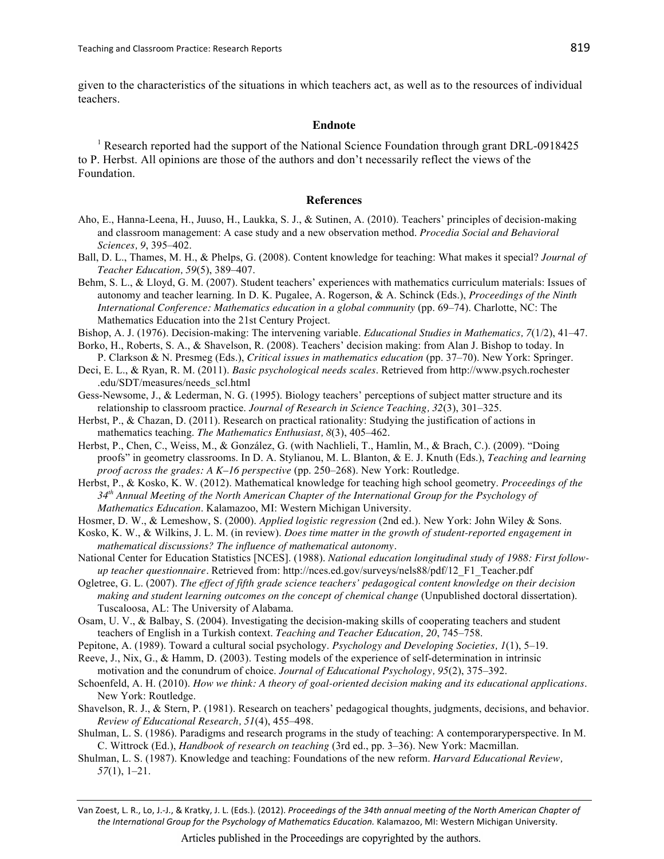given to the characteristics of the situations in which teachers act, as well as to the resources of individual **teachers** 

## **Endnote**

<sup>1</sup> Research reported had the support of the National Science Foundation through grant DRL-0918425 to P. Herbst. All opinions are those of the authors and don't necessarily reflect the views of the Foundation.

#### **References**

- Aho, E., Hanna-Leena, H., Juuso, H., Laukka, S. J., & Sutinen, A. (2010). Teachers' principles of decision-making and classroom management: A case study and a new observation method. Procedia Social and Behavioral Sciences, 9, 395-402.
- Ball, D. L., Thames, M. H., & Phelps, G. (2008). Content knowledge for teaching: What makes it special? Journal of Teacher Education, 59(5), 389-407.
- Behm, S. L., & Lloyd, G. M. (2007). Student teachers' experiences with mathematics curriculum materials: Issues of autonomy and teacher learning. In D. K. Pugalee, A. Rogerson, & A. Schinck (Eds.), Proceedings of the Ninth International Conference: Mathematics education in a global community (pp. 69–74). Charlotte, NC: The Mathematics Education into the 21st Century Project.
- Bishop, A. J. (1976). Decision-making: The intervening variable. *Educational Studies in Mathematics*, 7(1/2), 41–47.
- Borko, H., Roberts, S. A., & Shavelson, R. (2008). Teachers' decision making: from Alan J. Bishop to today. In P. Clarkson & N. Presmeg (Eds.), Critical issues in mathematics education (pp. 37-70). New York: Springer.
- Deci, E. L., & Ryan, R. M. (2011). Basic psychological needs scales. Retrieved from http://www.psych.rochester .edu/SDT/measures/needs scl.html
- Gess-Newsome, J., & Lederman, N. G. (1995). Biology teachers' perceptions of subject matter structure and its relationship to classroom practice. Journal of Research in Science Teaching, 32(3), 301–325.
- Herbst, P., & Chazan, D. (2011). Research on practical rationality: Studying the justification of actions in mathematics teaching. The Mathematics Enthusiast, 8(3), 405–462.
- Herbst, P., Chen, C., Weiss, M., & González, G. (with Nachlieli, T., Hamlin, M., & Brach, C.). (2009). "Doing proofs" in geometry classrooms. In D. A. Stylianou, M. L. Blanton, & E. J. Knuth (Eds.), Teaching and learning proof across the grades: A K-16 perspective (pp. 250-268). New York: Routledge.
- Herbst, P., & Kosko, K. W. (2012). Mathematical knowledge for teaching high school geometry. Proceedings of the  $34<sup>th</sup>$  Annual Meeting of the North American Chapter of the International Group for the Psychology of Mathematics Education. Kalamazoo, MI: Western Michigan University.
- Hosmer, D. W., & Lemeshow, S. (2000). Applied logistic regression (2nd ed.). New York: John Wiley & Sons.
- Kosko, K. W., & Wilkins, J. L. M. (in review). Does time matter in the growth of student-reported engagement in mathematical discussions? The influence of mathematical autonomy.
- National Center for Education Statistics [NCES]. (1988). National education longitudinal study of 1988: First followup teacher questionnaire. Retrieved from: http://nces.ed.gov/surveys/nels88/pdf/12 F1 Teacher.pdf
- Ogletree, G. L. (2007). The effect of fifth grade science teachers' pedagogical content knowledge on their decision making and student learning outcomes on the concept of chemical change (Unpublished doctoral dissertation). Tuscaloosa, AL: The University of Alabama.
- Osam, U. V., & Balbay, S. (2004). Investigating the decision-making skills of cooperating teachers and student teachers of English in a Turkish context. Teaching and Teacher Education, 20, 745–758.
- Pepitone, A. (1989). Toward a cultural social psychology. Psychology and Developing Societies, 1(1), 5–19.
- Reeve, J., Nix, G., & Hamm, D. (2003). Testing models of the experience of self-determination in intrinsic motivation and the conundrum of choice. Journal of Educational Psychology, 95(2), 375–392.
- Schoenfeld, A. H. (2010). How we think: A theory of goal-oriented decision making and its educational applications. New York: Routledge.
- Shavelson, R. J., & Stern, P. (1981). Research on teachers' pedagogical thoughts, judgments, decisions, and behavior. Review of Educational Research, 51(4), 455–498.
- Shulman, L. S. (1986). Paradigms and research programs in the study of teaching: A contemporaryperspective. In M. C. Wittrock (Ed.), Handbook of research on teaching (3rd ed., pp. 3-36). New York: Macmillan.
- Shulman, L. S. (1987). Knowledge and teaching: Foundations of the new reform. *Harvard Educational Review*,  $57(1), 1-21.$

Van Zoest, L. R., Lo, J.-J., & Kratky, J. L. (Eds.). (2012). Proceedings of the 34th annual meeting of the North American Chapter of the International Group for the Psychology of Mathematics Education. Kalamazoo, MI: Western Michigan University.